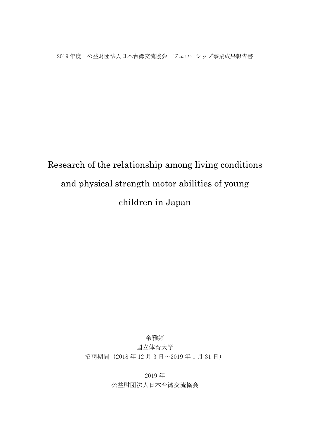2019 年度 公益財団法人日本台湾交流協会 フェローシップ事業成果報告書

# Research of the relationship among living conditions and physical strength motor abilities of young children in Japan

# 余雅婷

国立体育大学

招聘期間(2018 年 12 月 3 日~2019 年 1 月 31 日)

2019 年 公益財団法人日本台湾交流協会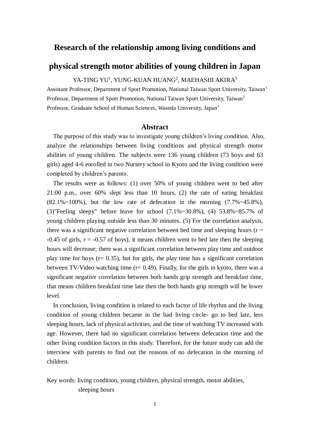# **Research of the relationship among living conditions and**

# **physical strength motor abilities of young children in Japan**

YA-TING YU<sup>1</sup>, YUNG-KUAN HUANG<sup>2</sup>, MAEHASHI AKIRA<sup>3</sup>

Assistant Professor, Department of Sport Promotion, National Taiwan Sport University, Taiwan<sup>1</sup> Professor, Department of Sport Promotion, National Taiwan Sport University, Taiwan<sup>2</sup> Professor, Graduate School of Human Sciences, Waseda University, Japan<sup>3</sup>

## **Abstract**

The purpose of this study was to investigate young children's living condition. Also, analyze the relationships between living conditions and physical strength motor abilities of young children. The subjects were 136 young children (73 boys and 63 girls) aged 4-6 enrolled in two Nursery school in Kyoto and the living condition were completed by children's parents.

The results were as follows: (1) over 50% of young children went to bed after 21:00 p.m., over 60% slept less than 10 hours, (2) the rate of eating breakfast  $(82.1\% \sim 100\%)$ , but the low rate of defecation in the morning  $(7.7\% \sim 45.8\%)$ , (3)"Feeling sleepy" before leave for school  $(7.1\% \sim 30.8\%)$ , (4)  $53.8\% \sim 85.7\%$  of young children playing outside less than 30 minutes. (5) For the correlation analysis, there was a significant negative correlation between bed time and sleeping hours ( $r =$ **-**0.45 of girls, r = **-**0.57 of boys), it means children went to bed late then the sleeping hours will decrease; there was a significant correlation between play time and outdoor play time for boys ( $r = 0.35$ ), but for girls, the play time has a significant correlation between TV/Video watching time  $(r= 0.49)$ . Finally, for the girls in kyoto, there was a significant negative correlation between both hands grip strength and breakfast time, that means children breakfast time late then the both hands grip strength will be lower level.

In conclusion, living condition is related to each factor of life rhythm and the living condition of young children became in the bad living circle- go to bed late, less sleeping hours, lack of physical activities, and the time of watching TV increased with age. However, there had no significant correlation between defecation time and the other living condition factors in this study. Therefore, for the future study can add the interview with parents to find out the reasons of no defecation in the morning of children.

Key words: living condition, young children, physical strength, motor abilities, sleeping hours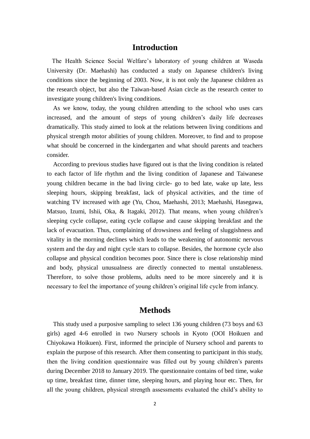# **Introduction**

The Health Science Social Welfare's laboratory of young children at Waseda University (Dr. Maehashi) has conducted a study on Japanese children's living conditions since the beginning of 2003. Now, it is not only the Japanese children as the research object, but also the Taiwan-based Asian circle as the research center to investigate young children's living conditions.

As we know, today, the young children attending to the school who uses cars increased, and the amount of steps of young children's daily life decreases dramatically. This study aimed to look at the relations between living conditions and physical strength motor abilities of young children. Moreover, to find and to propose what should be concerned in the kindergarten and what should parents and teachers consider.

According to previous studies have figured out is that the living condition is related to each factor of life rhythm and the living condition of Japanese and Taiwanese young children became in the bad living circle- go to bed late, wake up late, less sleeping hours, skipping breakfast, lack of physical activities, and the time of watching TV increased with age (Yu, Chou, Maehashi, 2013; Maehashi, Hasegawa, Matsuo, Izumi, Ishii, Oka, & Itagaki, 2012). That means, when young children's sleeping cycle collapse, eating cycle collapse and cause skipping breakfast and the lack of evacuation. Thus, complaining of drowsiness and feeling of sluggishness and vitality in the morning declines which leads to the weakening of autonomic nervous system and the day and night cycle stars to collapse. Besides, the hormone cycle also collapse and physical condition becomes poor. Since there is close relationship mind and body, physical unusualness are directly connected to mental unstableness. Therefore, to solve those problems, adults need to be more sincerely and it is necessary to feel the importance of young children's original life cycle from infancy.

# **Methods**

This study used a purposive sampling to select 136 young children (73 boys and 63 girls) aged 4-6 enrolled in two Nursery schools in Kyoto (OOI Hoikuen and Chiyokawa Hoikuen). First, informed the principle of Nursery school and parents to explain the purpose of this research. After them consenting to participant in this study, then the living condition questionnaire was filled out by young children's parents during December 2018 to January 2019. The questionnaire contains of bed time, wake up time, breakfast time, dinner time, sleeping hours, and playing hour etc. Then, for all the young children, physical strength assessments evaluated the child's ability to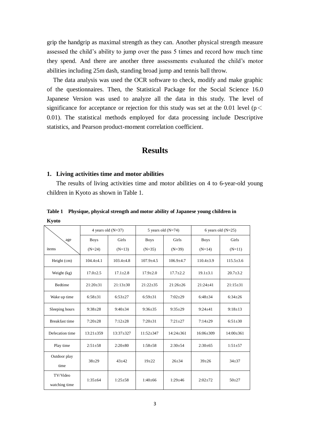grip the handgrip as maximal strength as they can. Another physical strength measure assessed the child's ability to jump over the pass 5 times and record how much time they spend. And there are another three assessments evaluated the child's motor abilities including 25m dash, standing broad jump and tennis ball throw.

The data analysis was used the OCR software to check, modify and make graphic of the questionnaires. Then, the Statistical Package for the Social Science 16.0 Japanese Version was used to analyze all the data in this study. The level of significance for acceptance or rejection for this study was set at the 0.01 level ( $p$  < 0.01). The statistical methods employed for data processing include Descriptive statistics, and Pearson product-moment correlation coefficient.

# **Results**

#### **1. Living activities time and motor abilities**

The results of living activities time and motor abilities on 4 to 6-year-old young children in Kyoto as shown in Table 1.

ľ age items 4 years old  $(N=37)$  5 years old  $(N=74)$  6 years old  $(N=25)$ Boys  $(N=24)$ Girls  $(N=13)$ Boys  $(N=35)$ Girls  $(N=39)$ Boys  $(N=14)$ Girls  $(N=11)$ Height (cm)  $104.4\pm4.1$  103.4 $\pm4.8$  107.9 $\pm4.5$  106.9 $\pm4.7$  110.4 $\pm3.9$  115.5 $\pm3.6$ Weight (kg)  $17.0 \pm 2.5$  17.1 $\pm 2.8$  17.9 $\pm 2.0$  17.7 $\pm 2.2$  19.1 $\pm 3.1$  20.7 $\pm 3.2$ Bedtime 21:20±31 21:13±30 21:22±35 21:26±26 21:24±41 21:15±31 Wake up time 6:58±31 6:53±27 6:59±31 7:02±29 6:48±34 6:34±26 Sleeping hours 9:38±28 9:40±34 9:36±35 9:35±29 9:24±41 9:18±13 Breakfast time 7:20±28 7:12±28 7:20±31 7:21±27 7:14±29 6:51±30 Defecation time 13:21±359 13:37±327 11:52±347 14:24±361 16:06±309 14:00±361 Play time 2:51±58 2:20±80 1:58±58 2:30±54 2:30±65 1:51±57 Outdoor play time  $38\pm29$  |  $43\pm42$  |  $19\pm22$  |  $26\pm34$  |  $39\pm26$  |  $34\pm37$ TV/Video watching time 1:35±64 1:25±58 1:40±66 1:29±46 2:02±72 50±27

**Table 1 Physique, physical strength and motor ability of Japanese young children in Kyoto**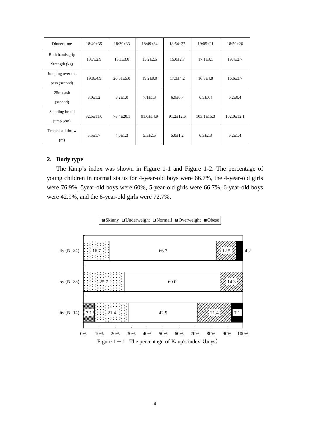| Dinner time                        | $18:49 \pm 35$  | $18:39 \pm 33$  | $18:49 \pm 34$  | $18:54 \pm 27$  | $19:05 \pm 21$   | $18:50 \pm 26$   |
|------------------------------------|-----------------|-----------------|-----------------|-----------------|------------------|------------------|
| Both hands grip<br>Strength $(kg)$ | $13.7 \pm 2.9$  | $13.1 \pm 3.8$  | $15.2 \pm 2.5$  | $15.0 \pm 2.7$  | $17.1 \pm 3.1$   | $19.4 \pm 2.7$   |
|                                    |                 |                 |                 |                 |                  |                  |
| Jumping over the                   | $19.8 + 4.9$    | $20.51 \pm 5.0$ | $19.2 \pm 8.0$  | $17.3 \pm 4.2$  | $16.3 \pm 4.8$   | $16.6 \pm 3.7$   |
| pass (second)                      |                 |                 |                 |                 |                  |                  |
| $25m$ dash                         |                 |                 |                 |                 |                  |                  |
| (second)                           | $8.0 \pm 1.2$   | $8.2 \pm 1.0$   | $7.1 + 1.3$     | $6.9 \pm 0.7$   | $6.5 \pm 0.4$    | $6.2 \pm 0.4$    |
| Standing broad                     |                 |                 |                 |                 |                  |                  |
| $jump$ (cm)                        | $82.5 \pm 11.0$ | $78.4 \pm 20.1$ | $91.0 \pm 14.9$ | $91.2 \pm 12.6$ | $103.1 \pm 15.3$ | $102.0 \pm 12.1$ |
| Tennis ball throw                  |                 |                 |                 |                 |                  |                  |
| (m)                                | $5.5 \pm 1.7$   | $4.0 \pm 1.3$   | $5.5 \pm 2.5$   | $5.0 \pm 1.2$   | $6.3 \pm 2.3$    | $6.2 + 1.4$      |

# **2. Body type**

The Kaup's index was shown in Figure 1-1 and Figure 1-2. The percentage of young children in normal status for 4-year-old boys were 66.7%, the 4-year-old girls were 76.9%, 5year-old boys were 60%, 5-year-old girls were 66.7%, 6-year-old boys were 42.9%, and the 6-year-old girls were 72.7%.

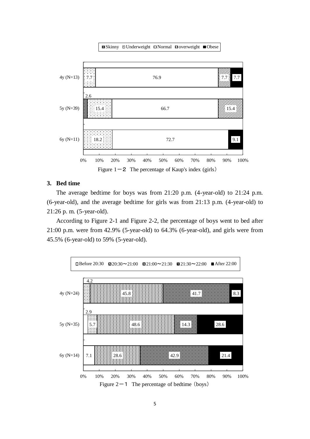**■Skinny ロUnderweight ロNormal Doverweight ■Obese** 



## **3. Bed time**

The average bedtime for boys was from 21:20 p.m. (4-year-old) to 21:24 p.m. (6-year-old), and the average bedtime for girls was from 21:13 p.m. (4-year-old) to 21:26 p. m. (5-year-old).

According to Figure 2-1 and Figure 2-2, the percentage of boys went to bed after 21:00 p.m. were from 42.9% (5-year-old) to 64.3% (6-year-old), and girls were from 45.5% (6-year-old) to 59% (5-year-old).

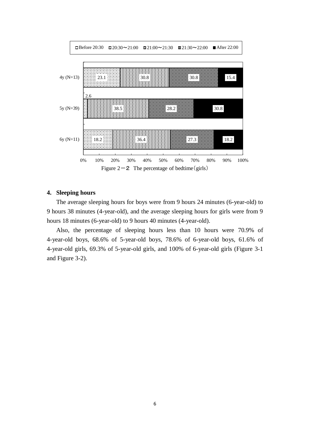

# **4. Sleeping hours**

The average sleeping hours for boys were from 9 hours 24 minutes (6-year-old) to 9 hours 38 minutes (4-year-old), and the average sleeping hours for girls were from 9 hours 18 minutes (6-year-old) to 9 hours 40 minutes (4-year-old).

Also, the percentage of sleeping hours less than 10 hours were 70.9% of 4-year-old boys, 68.6% of 5-year-old boys, 78.6% of 6-year-old boys, 61.6% of 4-year-old girls, 69.3% of 5-year-old girls, and 100% of 6-year-old girls (Figure 3-1 and Figure 3-2).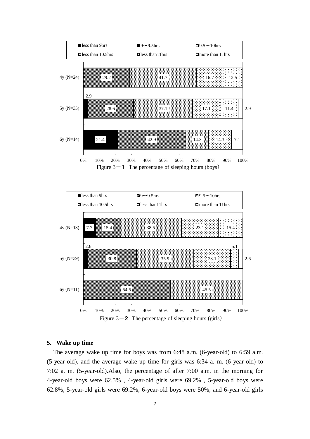



#### **5. Wake up time**

The average wake up time for boys was from 6:48 a.m. (6-year-old) to 6:59 a.m. (5-year-old), and the average wake up time for girls was 6:34 a. m. (6-year-old) to 7:02 a. m. (5-year-old).Also, the percentage of after 7:00 a.m. in the morning for 4-year-old boys were 62.5% , 4-year-old girls were 69.2% , 5-year-old boys were 62.8%, 5-year-old girls were 69.2%, 6-year-old boys were 50%, and 6-year-old girls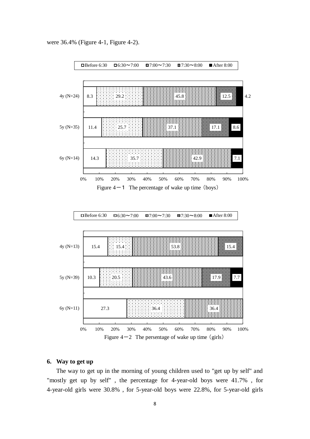were 36.4% (Figure 4-1, Figure 4-2).



#### **6. Way to get up**

The way to get up in the morning of young children used to "get up by self" and "mostly get up by self" , the percentage for 4-year-old boys were 41.7% , for 4-year-old girls were 30.8% , for 5-year-old boys were 22.8%, for 5-year-old girls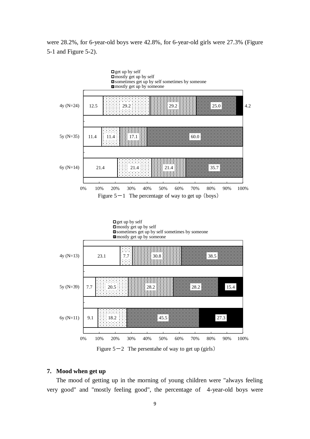were 28.2%, for 6-year-old boys were 42.8%, for 6-year-old girls were 27.3% (Figure 5-1 and Figure 5-2).



#### **7. Mood when get up**

The mood of getting up in the morning of young children were "always feeling very good" and "mostly feeling good", the percentage of 4-year-old boys were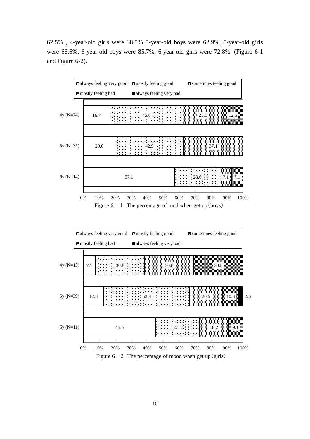62.5% , 4-year-old girls were 38.5% 5-year-old boys were 62.9%, 5-year-old girls were 66.6%, 6-year-old boys were 85.7%, 6-year-old girls were 72.8%. (Figure 6-1 and Figure 6-2).



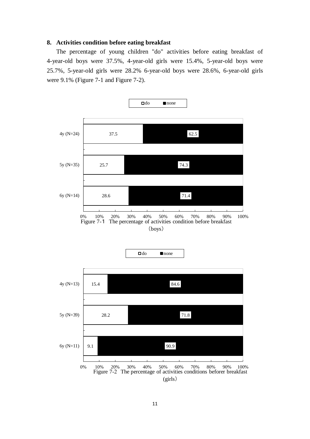#### **8. Activities condition before eating breakfast**

The percentage of young children "do" activities before eating breakfast of 4-year-old boys were 37.5%, 4-year-old girls were 15.4%, 5-year-old boys were 25.7%, 5-year-old girls were 28.2% 6-year-old boys were 28.6%, 6-year-old girls were 9.1% (Figure 7-1 and Figure 7-2).

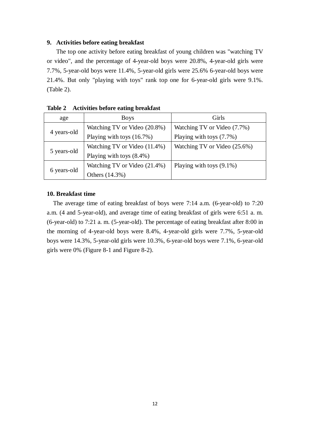#### **9. Activities before eating breakfast**

The top one activity before eating breakfast of young children was "watching TV or video", and the percentage of 4-year-old boys were 20.8%, 4-year-old girls were 7.7%, 5-year-old boys were 11.4%, 5-year-old girls were 25.6% 6-year-old boys were 21.4%. But only "playing with toys" rank top one for 6-year-old girls were 9.1%. (Table 2).

| age         | <b>Boys</b>                  | Girls                        |
|-------------|------------------------------|------------------------------|
| 4 years-old | Watching TV or Video (20.8%) | Watching TV or Video (7.7%)  |
|             | Playing with toys $(16.7\%)$ | Playing with toys (7.7%)     |
| 5 years-old | Watching TV or Video (11.4%) | Watching TV or Video (25.6%) |
|             | Playing with toys $(8.4\%)$  |                              |
| 6 years-old | Watching TV or Video (21.4%) | Playing with toys $(9.1\%)$  |
|             | Others (14.3%)               |                              |

**Table 2 Activities before eating breakfast** 

## **10. Breakfast time**

The average time of eating breakfast of boys were 7:14 a.m. (6-year-old) to 7:20 a.m. (4 and 5-year-old), and average time of eating breakfast of girls were 6:51 a. m. (6-year-old) to 7:21 a. m. (5-year-old). The percentage of eating breakfast after 8:00 in the morning of 4-year-old boys were 8.4%, 4-year-old girls were 7.7%, 5-year-old boys were 14.3%, 5-year-old girls were 10.3%, 6-year-old boys were 7.1%, 6-year-old girls were 0% (Figure 8-1 and Figure 8-2).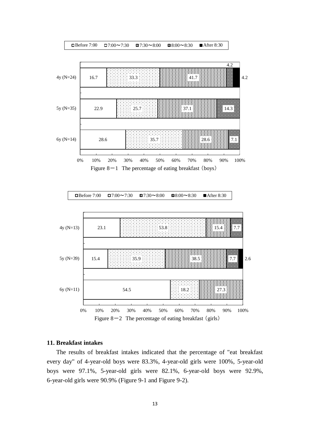

#### **11. Breakfast intakes**

The results of breakfast intakes indicated that the percentage of "eat breakfast every day" of 4-year-old boys were 83.3%, 4-year-old girls were 100%, 5-year-old boys were 97.1%, 5-year-old girls were 82.1%, 6-year-old boys were 92.9%, 6-year-old girls were 90.9% (Figure 9-1 and Figure 9-2).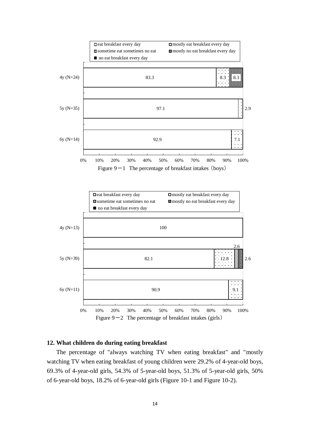

## **12. What children do during eating breakfast**

The percentage of "always watching TV when eating breakfast" and "mostly watching TV when eating breakfast of young children were 29.2% of 4-year-old boys, 69.3% of 4-year-old girls, 54.3% of 5-year-old boys, 51.3% of 5-year-old girls, 50% of 6-year-old boys, 18.2% of 6-year-old girls (Figure 10-1 and Figure 10-2).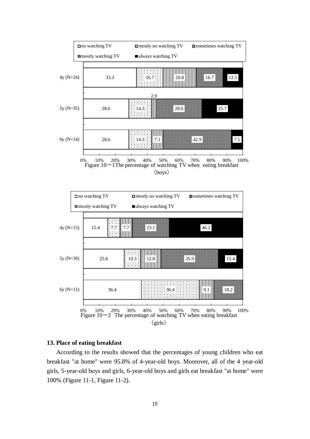

#### **13. Place of eating breakfast**

According to the results showed that the percentages of young children who eat breakfast "at home" were 95.8% of 4-year-old boys. Moreover, all of the 4 year-old girls, 5-year-old boys and girls, 6-year-old boys and girls eat breakfast "at home" were 100% (Figure 11-1, Figure 11-2).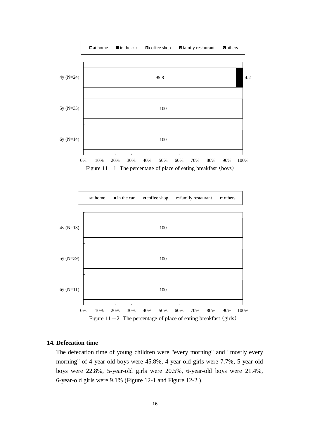



#### **14. Defecation time**

The defecation time of young children were "every morning" and "mostly every morning" of 4-year-old boys were 45.8%, 4-year-old girls were 7.7%, 5-year-old boys were 22.8%, 5-year-old girls were 20.5%, 6-year-old boys were 21.4%, 6-year-old girls were 9.1% (Figure 12-1 and Figure 12-2 ).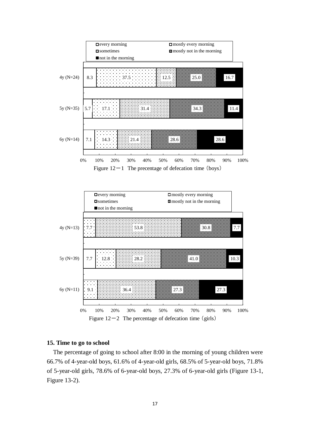



#### **15. Time to go to school**

The percentage of going to school after 8:00 in the morning of young children were 66.7% of 4-year-old boys, 61.6% of 4-year-old girls, 68.5% of 5-year-old boys, 71.8% of 5-year-old girls, 78.6% of 6-year-old boys, 27.3% of 6-year-old girls (Figure 13-1, Figure 13-2).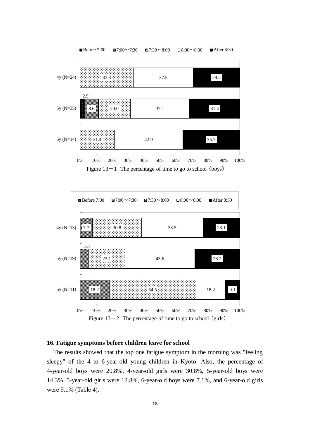

■Before 7:00 ■ 7:00 ~ 7:30 ■ 7:30 ~ 8:00 ■ 8:00 ~ 8:30 ■ After 8:30 **1999** 4y (N=13) 23.1 7.7 30.8 38.5 œ 5.1 383 5y (N=39) 23.1 43.6 28.2 6y (N=11) 18.2 54.5 18.2 9.1 0% 10% 20% 30% 40% 50% 60% 70% 80% 90% 100% Figure  $13-2$  The percentage of time to go to school (girls)

## **16. Fatigue symptoms before children leave for school**

The results showed that the top one fatigue symptom in the morning was "feeling sleepy" of the 4 to 6-year-old young children in Kyoto. Also, the percentage of 4-year-old boys were 20.8%, 4-year-old girls were 30.8%, 5-year-old boys were 14.3%, 5-year-old girls were 12.8%, 6-year-old boys were 7.1%, and 6-year-old girls were 9.1% (Table 4).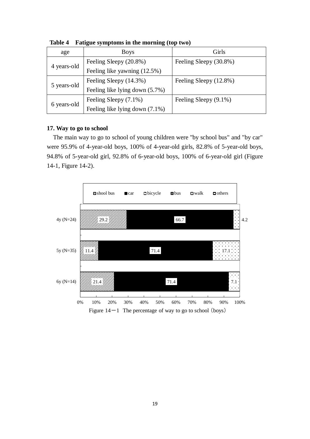| age         | <b>Boys</b>                    | Girls                  |
|-------------|--------------------------------|------------------------|
| 4 years-old | Feeling Sleepy (20.8%)         | Feeling Sleepy (30.8%) |
|             | Feeling like yawning (12.5%)   |                        |
| 5 years-old | Feeling Sleepy (14.3%)         | Feeling Sleepy (12.8%) |
|             | Feeling like lying down (5.7%) |                        |
| 6 years-old | Feeling Sleepy (7.1%)          | Feeling Sleepy (9.1%)  |
|             | Feeling like lying down (7.1%) |                        |

**Table 4 Fatigue symptoms in the morning (top two)**

# **17. Way to go to school**

The main way to go to school of young children were "by school bus" and "by car" were 95.9% of 4-year-old boys, 100% of 4-year-old girls, 82.8% of 5-year-old boys, 94.8% of 5-year-old girl, 92.8% of 6-year-old boys, 100% of 6-year-old girl (Figure 14-1, Figure 14-2).

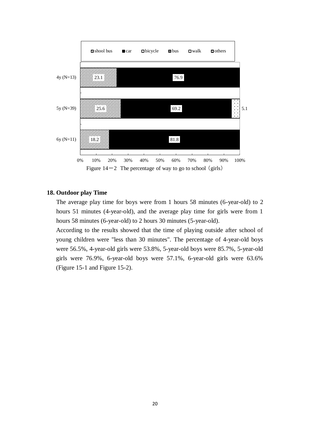

# **18. Outdoor play Time**

The average play time for boys were from 1 hours 58 minutes (6-year-old) to 2 hours 51 minutes (4-year-old), and the average play time for girls were from 1 hours 58 minutes (6-year-old) to 2 hours 30 minutes (5-year-old).

According to the results showed that the time of playing outside after school of young children were "less than 30 minutes". The percentage of 4-year-old boys were 56.5%, 4-year-old girls were 53.8%, 5-year-old boys were 85.7%, 5-year-old girls were 76.9%, 6-year-old boys were 57.1%, 6-year-old girls were 63.6% (Figure 15-1 and Figure 15-2).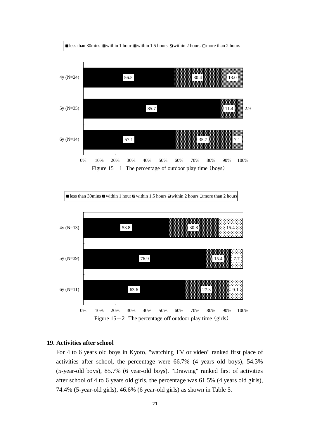



## **19. Activities after school**

For 4 to 6 years old boys in Kyoto, "watching TV or video" ranked first place of activities after school, the percentage were 66.7% (4 years old boys), 54.3% (5-year-old boys), 85.7% (6 year-old boys). "Drawing" ranked first of activities after school of 4 to 6 years old girls, the percentage was 61.5% (4 years old girls), 74.4% (5-year-old girls), 46.6% (6 year-old girls) as shown in Table 5.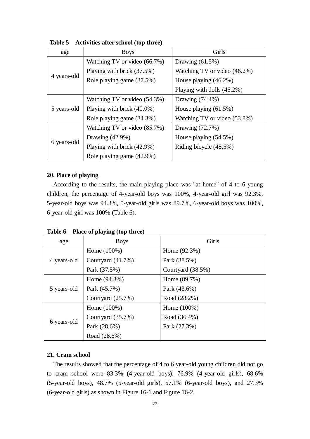| age         | <b>Boys</b>                  | Girls                        |  |
|-------------|------------------------------|------------------------------|--|
| 4 years-old | Watching TV or video (66.7%) | Drawing $(61.5\%)$           |  |
|             | Playing with brick (37.5%)   | Watching TV or video (46.2%) |  |
|             | Role playing game (37.5%)    | House playing $(46.2\%)$     |  |
|             |                              | Playing with dolls (46.2%)   |  |
| 5 years-old | Watching TV or video (54.3%) | Drawing $(74.4\%)$           |  |
|             | Playing with brick (40.0%)   | House playing $(61.5\%)$     |  |
|             | Role playing game (34.3%)    | Watching TV or video (53.8%) |  |
| 6 years-old | Watching TV or video (85.7%) | Drawing (72.7%)              |  |
|             | Drawing $(42.9\%)$           | House playing $(54.5\%)$     |  |
|             | Playing with brick (42.9%)   | Riding bicycle (45.5%)       |  |
|             | Role playing game (42.9%)    |                              |  |

**Table 5 Activities after school (top three)**

# **20. Place of playing**

According to the results, the main playing place was "at home" of 4 to 6 young children, the percentage of 4-year-old boys was 100%, 4-year-old girl was 92.3%, 5-year-old boys was 94.3%, 5-year-old girls was 89.7%, 6-year-old boys was 100%, 6-year-old girl was 100% (Table 6).

**Table 6 Place of playing (top three)**

| age         | <b>Boys</b>          | Girls             |
|-------------|----------------------|-------------------|
| 4 years-old | Home $(100%)$        | Home $(92.3%)$    |
|             | Courtyard $(41.7\%)$ | Park (38.5%)      |
|             | Park (37.5%)         | Courtyard (38.5%) |
|             | Home $(94.3\%)$      | Home (89.7%)      |
| 5 years-old | Park (45.7%)         | Park (43.6%)      |
|             | Courtyard (25.7%)    | Road (28.2%)      |
|             | Home $(100\%)$       | Home $(100%)$     |
| 6 years-old | Courtyard (35.7%)    | Road (36.4%)      |
|             | Park (28.6%)         | Park (27.3%)      |
|             | Road (28.6%)         |                   |

# **21. Cram school**

The results showed that the percentage of 4 to 6 year-old young children did not go to cram school were 83.3% (4-year-old boys), 76.9% (4-year-old girls), 68.6% (5-year-old boys), 48.7% (5-year-old girls), 57.1% (6-year-old boys), and 27.3% (6-year-old girls) as shown in Figure 16-1 and Figure 16-2.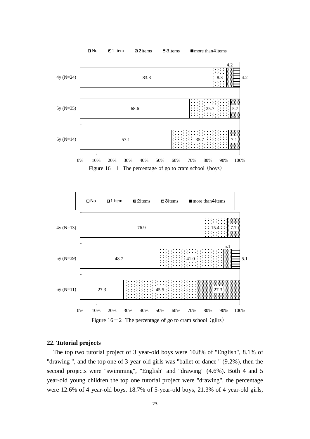

Figure  $16-1$  The percentage of go to cram school (boys)



Figure  $16-2$  The percentage of go to cram school (gilrs)

## **22. Tutorial projects**

The top two tutorial project of 3 year-old boys were 10.8% of "English", 8.1% of "drawing ", and the top one of 3-year-old girls was "ballet or dance " (9.2%), then the second projects were "swimming", "English" and "drawing" (4.6%). Both 4 and 5 year-old young children the top one tutorial project were "drawing", the percentage were 12.6% of 4 year-old boys, 18.7% of 5-year-old boys, 21.3% of 4 year-old girls,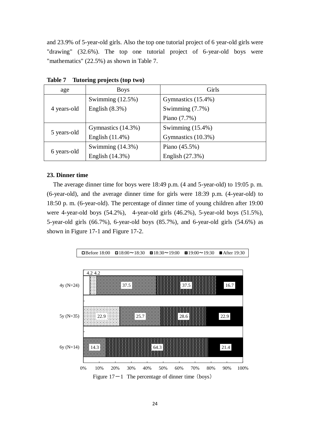and 23.9% of 5-year-old girls. Also the top one tutorial project of 6 year-old girls were "drawing" (32.6%). The top one tutorial project of 6-year-old boys were "mathematics" (22.5%) as shown in Table 7.

| age         | <b>Boys</b>         | Girls               |
|-------------|---------------------|---------------------|
| 4 years-old | Swimming $(12.5\%)$ | Gymnastics (15.4%)  |
|             | English $(8.3\%)$   | Swimming (7.7%)     |
|             |                     | Piano (7.7%)        |
| 5 years-old | Gymnastics (14.3%)  | Swimming $(15.4\%)$ |
|             | English (11.4%)     | Gymnastics (10.3%)  |
| 6 years-old | Swimming $(14.3\%)$ | Piano $(45.5\%)$    |
|             | English (14.3%)     | English (27.3%)     |

**Table 7 Tutoring projects (top two)**

#### **23. Dinner time**

The average dinner time for boys were 18:49 p.m. (4 and 5-year-old) to 19:05 p. m. (6-year-old), and the average dinner time for girls were 18:39 p.m. (4-year-old) to 18:50 p. m. (6-year-old). The percentage of dinner time of young children after 19:00 were 4-year-old boys (54.2%), 4-year-old girls (46.2%), 5-year-old boys (51.5%), 5-year-old girls (66.7%), 6-year-old boys (85.7%), and 6-year-old girls (54.6%) as shown in Figure 17-1 and Figure 17-2.

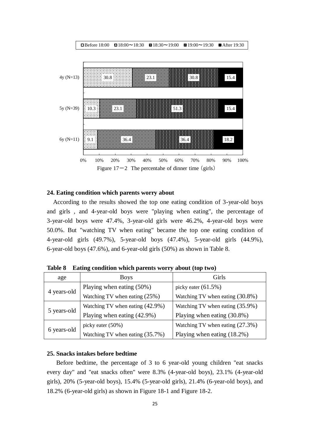

#### **24. Eating condition which parents worry about**

According to the results showed the top one eating condition of 3-year-old boys and girls , and 4-year-old boys were "playing when eating", the percentage of 3-year-old boys were 47.4%, 3-year-old girls were 46.2%, 4-year-old boys were 50.0%. But "watching TV when eating" became the top one eating condition of 4-year-old girls (49.7%), 5-year-old boys (47.4%), 5-year-old girls (44.9%), 6-year-old boys (47.6%), and 6-year-old girls (50%) as shown in Table 8.

| age         | <b>Boys</b>                                                           | Girls                              |
|-------------|-----------------------------------------------------------------------|------------------------------------|
| 4 years-old | Playing when eating $(50\%)$                                          | picky eater $(61.5\%)$             |
|             | Watching TV when eating $(25%)$                                       | Watching TV when eating (30.8%)    |
| 5 years-old | Watching TV when eating $(42.9\%)$<br>Watching TV when eating (35.9%) |                                    |
|             | Playing when eating (42.9%)                                           | Playing when eating (30.8%)        |
| 6 years-old | picky eater $(50\%)$                                                  | Watching TV when eating $(27.3\%)$ |
|             | Watching TV when eating $(35.7\%)$                                    | Playing when eating $(18.2\%)$     |

**Table 8 Eating condition which parents worry about (top two)**

#### **25. Snacks intakes before bedtime**

Before bedtime, the percentage of 3 to 6 year-old young children "eat snacks every day" and "eat snacks often" were 8.3% (4-year-old boys), 23.1% (4-year-old girls), 20% (5-year-old boys), 15.4% (5-year-old girls), 21.4% (6-year-old boys), and 18.2% (6-year-old girls) as shown in Figure 18-1 and Figure 18-2.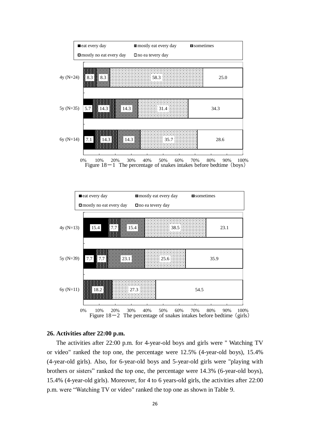

0% 10% 20% 30% 40% 50% 60% 70% 80% 90% 100% Figure 18-1 The percentage of snakes intakes before bedtime (boys)



## **26. Activities after 22:00 p.m.**

The activities after 22:00 p.m. for 4-year-old boys and girls were " Watching TV or video" ranked the top one, the percentage were 12.5% (4-year-old boys), 15.4% (4-year-old girls). Also, for 6-year-old boys and 5-year-old girls were "playing with brothers or sisters" ranked the top one, the percentage were 14.3% (6-year-old boys), 15.4% (4-year-old girls). Moreover, for 4 to 6 years-old girls, the activities after 22:00 p.m. were "Watching TV or video" ranked the top one as shown in Table 9.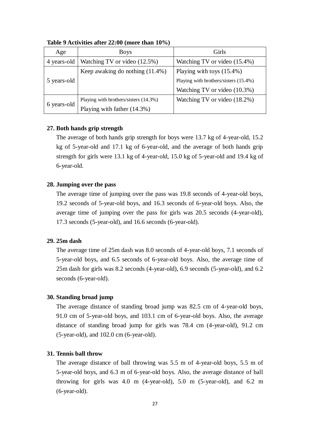| Age         | <b>Boys</b>                           | Girls                                 |
|-------------|---------------------------------------|---------------------------------------|
| 4 years-old | Watching TV or video (12.5%)          | Watching TV or video (15.4%)          |
|             | Keep awaking do nothing $(11.4\%)$    | Playing with toys $(15.4\%)$          |
| 5 years-old |                                       | Playing with brothers/sisters (15.4%) |
|             |                                       | Watching TV or video (10.3%)          |
| 6 years-old | Playing with brothers/sisters (14.3%) | Watching TV or video (18.2%)          |
|             | Playing with father (14.3%)           |                                       |

**Table 9 Activities after 22:00 (more than 10%)**

## **27. Both hands grip strength**

The average of both hands grip strength for boys were 13.7 kg of 4-year-old, 15.2 kg of 5-year-old and 17.1 kg of 6-year-old, and the average of both hands grip strength for girls were 13.1 kg of 4-year-old, 15.0 kg of 5-year-old and 19.4 kg of 6-year-old.

#### **28. Jumping over the pass**

The average time of jumping over the pass was 19.8 seconds of 4-year-old boys, 19.2 seconds of 5-year-old boys, and 16.3 seconds of 6-year-old boys. Also, the average time of jumping over the pass for girls was 20.5 seconds (4-year-old), 17.3 seconds (5-year-old), and 16.6 seconds (6-year-old).

#### **29. 25m dash**

The average time of 25m dash was 8.0 seconds of 4-year-old boys, 7.1 seconds of 5-year-old boys, and 6.5 seconds of 6-year-old boys. Also, the average time of 25m dash for girls was 8.2 seconds (4-year-old), 6.9 seconds (5-year-old), and 6.2 seconds (6-year-old).

## **30. Standing broad jump**

The average distance of standing broad jump was 82.5 cm of 4-year-old boys, 91.0 cm of 5-year-old boys, and 103.1 cm of 6-year-old boys. Also, the average distance of standing broad jump for girls was 78.4 cm (4-year-old), 91.2 cm (5-year-old), and 102.0 cm (6-year-old).

# **31. Tennis ball throw**

The average distance of ball throwing was 5.5 m of 4-year-old boys, 5.5 m of 5-year-old boys, and 6.3 m of 6-year-old boys. Also, the average distance of ball throwing for girls was 4.0 m (4-year-old), 5.0 m (5-year-old), and 6.2 m (6-year-old).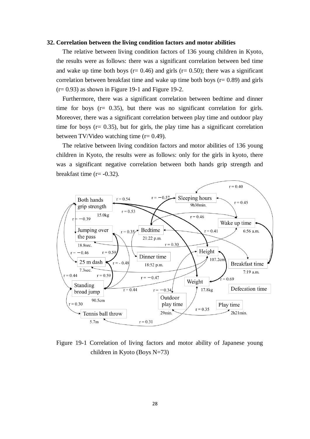#### **32. Correlation between the living condition factors and motor abilities**

The relative between living condition factors of 136 young children in Kyoto, the results were as follows: there was a significant correlation between bed time and wake up time both boys ( $r= 0.46$ ) and girls ( $r= 0.50$ ); there was a significant correlation between breakfast time and wake up time both boys ( $r = 0.89$ ) and girls  $(r= 0.93)$  as shown in Figure 19-1 and Figure 19-2.

Furthermore, there was a significant correlation between bedtime and dinner time for boys  $(r= 0.35)$ , but there was no significant correlation for girls. Moreover, there was a significant correlation between play time and outdoor play time for boys ( $r = 0.35$ ), but for girls, the play time has a significant correlation between TV/Video watching time (r= 0.49).

The relative between living condition factors and motor abilities of 136 young children in Kyoto, the results were as follows: only for the girls in kyoto, there was a significant negative correlation between both hands grip strength and breakfast time (r= **-**0.32).



Figure 19-1 Correlation of living factors and motor ability of Japanese young children in Kyoto (Boys N=73)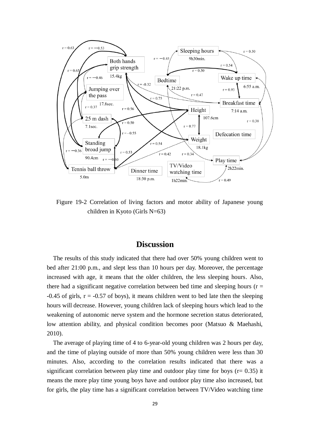

Figure 19-2 Correlation of living factors and motor ability of Japanese young children in Kyoto (Girls N=63)

# **Discussion**

The results of this study indicated that there had over 50% young children went to bed after 21:00 p.m., and slept less than 10 hours per day. Moreover, the percentage increased with age, it means that the older children, the less sleeping hours. Also, there had a significant negative correlation between bed time and sleeping hours ( $r =$  $\text{-}0.45$  of girls,  $\text{r} = -0.57$  of boys), it means children went to bed late then the sleeping hours will decrease. However, young children lack of sleeping hours which lead to the weakening of autonomic nerve system and the hormone secretion status deteriorated, low attention ability, and physical condition becomes poor (Matsuo & Maehashi, 2010).

The average of playing time of 4 to 6-year-old young children was 2 hours per day, and the time of playing outside of more than 50% young children were less than 30 minutes. Also, according to the correlation results indicated that there was a significant correlation between play time and outdoor play time for boys ( $r = 0.35$ ) it means the more play time young boys have and outdoor play time also increased, but for girls, the play time has a significant correlation between TV/Video watching time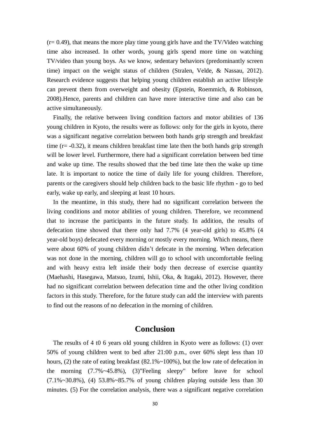$(r= 0.49)$ , that means the more play time young girls have and the TV/Video watching time also increased. In other words, young girls spend more time on watching TV/video than young boys. As we know, sedentary behaviors (predominantly screen time) impact on the weight status of children (Stralen, Velde, & Nassau, 2012). Research evidence suggests that helping young children establish an active lifestyle can prevent them from overweight and obesity (Epstein, Roemmich, & Robinson, 2008).Hence, parents and children can have more interactive time and also can be active simultaneously.

Finally, the relative between living condition factors and motor abilities of 136 young children in Kyoto, the results were as follows: only for the girls in kyoto, there was a significant negative correlation between both hands grip strength and breakfast time (r= **-**0.32), it means children breakfast time late then the both hands grip strength will be lower level. Furthermore, there had a significant correlation between bed time and wake up time. The results showed that the bed time late then the wake up time late. It is important to notice the time of daily life for young children. Therefore, parents or the caregivers should help children back to the basic life rhythm **-** go to bed early, wake up early, and sleeping at least 10 hours.

In the meantime, in this study, there had no significant correlation between the living conditions and motor abilities of young children. Therefore, we recommend that to increase the participants in the future study. In addition, the results of defecation time showed that there only had 7.7% (4 year-old girls) to 45.8% (4 year-old boys) defecated every morning or mostly every morning. Which means, there were about 60% of young children didn't defecate in the morning. When defecation was not done in the morning, children will go to school with uncomfortable feeling and with heavy extra left inside their body then decrease of exercise quantity (Maehashi, Hasegawa, Matsuo, Izumi, Ishii, Oka, & Itagaki, 2012). However, there had no significant correlation between defecation time and the other living condition factors in this study. Therefore, for the future study can add the interview with parents to find out the reasons of no defecation in the morning of children.

# **Conclusion**

The results of 4 t0 6 years old young children in Kyoto were as follows: (1) over 50% of young children went to bed after 21:00 p.m., over 60% slept less than 10 hours, (2) the rate of eating breakfast (82.1%~100%), but the low rate of defecation in the morning (7.7%~45.8%), (3)"Feeling sleepy" before leave for school  $(7.1\%~30.8\%)$ , (4) 53.8%~85.7% of young children playing outside less than 30 minutes. (5) For the correlation analysis, there was a significant negative correlation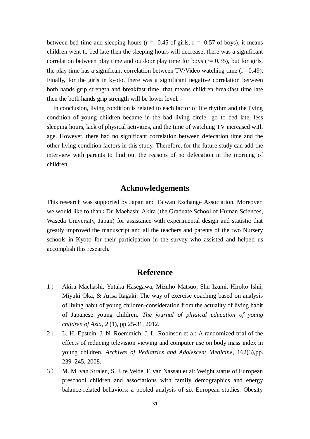between bed time and sleeping hours ( $r = -0.45$  of girls,  $r = -0.57$  of boys), it means children went to bed late then the sleeping hours will decrease; there was a significant correlation between play time and outdoor play time for boys ( $r = 0.35$ ), but for girls, the play time has a significant correlation between  $TV/Video$  watching time ( $r= 0.49$ ). Finally, for the girls in kyoto, there was a significant negative correlation between both hands grip strength and breakfast time, that means children breakfast time late then the both hands grip strength will be lower level.

In conclusion, living condition is related to each factor of life rhythm and the living condition of young children became in the bad living circle- go to bed late, less sleeping hours, lack of physical activities, and the time of watching TV increased with age. However, there had no significant correlation between defecation time and the other living condition factors in this study. Therefore, for the future study can add the interview with parents to find out the reasons of no defecation in the morning of children.

# **Acknowledgements**

This research was supported by Japan and Taiwan Exchange Association. Moreover, we would like to thank Dr. Maehashi Akira (the Graduate School of Human Sciences, Waseda University, Japan) for assistance with experimental design and statistic that greatly improved the manuscript and all the teachers and parents of the two Nursery schools in Kyoto for their participation in the survey who assisted and helped us accomplish this research.

# **Reference**

- 1) Akira Maehashi, Yutaka Hasegawa, Mizuho Matsuo, Shu Izumi, Hiroko Ishii, Miyuki Oka, & Arisa Itagaki: The way of exercise coaching based on analysis of living habit of young children-consideration from the actuality of living habit of Japanese young children. *The journal of physical education of young children of Asia, 2* (1), pp 25-31, 2012.
- 2) L. H. Epstein, J. N. Roemmich, J. L. Robinson et al: A randomized trial of the effects of reducing television viewing and computer use on body mass index in young children. *Archives of Pediatrics and Adolescent Medicine*, 162(3),pp. 239–245, 2008.
- 3) M. M. van Stralen, S. J. te Velde, F. van Nassau et al: Weight status of European preschool children and associations with family demographics and energy balance-related behaviors: a pooled analysis of six European studies. Obesity